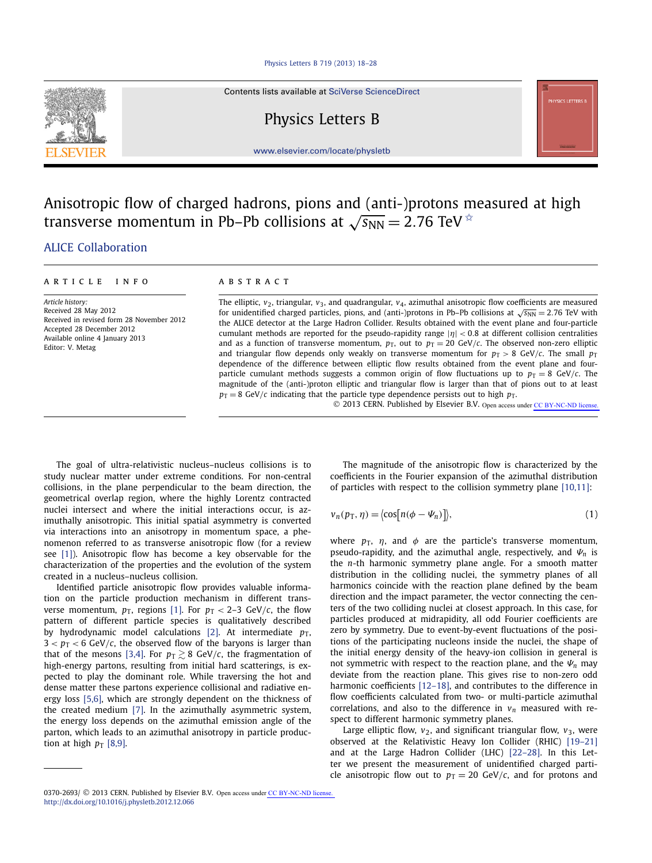Contents lists available at [SciVerse ScienceDirect](http://www.ScienceDirect.com/)

# Physics Letters B

[www.elsevier.com/locate/physletb](http://www.elsevier.com/locate/physletb)

## Anisotropic flow of charged hadrons, pions and (anti-)protons measured at high transverse momentum in Pb–Pb collisions at  $\sqrt{s_{NN}} = 2.76$  TeV  $\approx$

## [.ALICE Collaboration](#page-5-0)

### article info abstract

*Article history:* Received 28 May 2012 Received in revised form 28 November 2012 Accepted 28 December 2012 Available online 4 January 2013 Editor: V. Metag

The elliptic, *v*2, triangular, *v*3, and quadrangular, *v*4, azimuthal anisotropic flow coefficients are measured for unidentified charged particles, pions, and (anti-)protons in Pb–Pb collisions at  $\sqrt{s_{NN}}$  = 2.76 TeV with the ALICE detector at the Large Hadron Collider. Results obtained with the event plane and four-particle cumulant methods are reported for the pseudo-rapidity range |*η*| *<* 0*.*8 at different collision centralities and as a function of transverse momentum,  $p_T$ , out to  $p_T = 20$  GeV/*c*. The observed non-zero elliptic and triangular flow depends only weakly on transverse momentum for  $p_T > 8$  GeV/*c*. The small  $p_T$ dependence of the difference between elliptic flow results obtained from the event plane and fourparticle cumulant methods suggests a common origin of flow fluctuations up to  $p_T = 8$  GeV/*c*. The magnitude of the (anti-)proton elliptic and triangular flow is larger than that of pions out to at least  $p_T = 8$  GeV/*c* indicating that the particle type dependence persists out to high  $p_T$ .

© 2013 CERN. Published by Elsevier B.V. Open access under [CC BY-NC-ND license.](http://creativecommons.org/licenses/by-nc-nd/4.0/)

The goal of ultra-relativistic nucleus–nucleus collisions is to study nuclear matter under extreme conditions. For non-central collisions, in the plane perpendicular to the beam direction, the geometrical overlap region, where the highly Lorentz contracted nuclei intersect and where the initial interactions occur, is azimuthally anisotropic. This initial spatial asymmetry is converted via interactions into an anisotropy in momentum space, a phenomenon referred to as transverse anisotropic flow (for a review see [\[1\]\)](#page-5-0). Anisotropic flow has become a key observable for the characterization of the properties and the evolution of the system created in a nucleus–nucleus collision.

Identified particle anisotropic flow provides valuable information on the particle production mechanism in different transverse momentum,  $p_T$ , regions [\[1\].](#page-5-0) For  $p_T < 2-3$  GeV/*c*, the flow pattern of different particle species is qualitatively described by hydrodynamic model calculations [\[2\].](#page-5-0) At intermediate  $p<sub>T</sub>$ ,  $3 < p_T < 6$  GeV/*c*, the observed flow of the baryons is larger than that of the mesons [\[3,4\].](#page-5-0) For  $p_{\text{T}} \gtrsim$  8 GeV/ $c$ , the fragmentation of high-energy partons, resulting from initial hard scatterings, is expected to play the dominant role. While traversing the hot and dense matter these partons experience collisional and radiative energy loss [\[5,6\],](#page-5-0) which are strongly dependent on the thickness of the created medium [\[7\].](#page-5-0) In the azimuthally asymmetric system, the energy loss depends on the azimuthal emission angle of the parton, which leads to an azimuthal anisotropy in particle production at high  $p_T$  [\[8,9\].](#page-5-0)

The magnitude of the anisotropic flow is characterized by the coefficients in the Fourier expansion of the azimuthal distribution of particles with respect to the collision symmetry plane [\[10,11\]:](#page-5-0)

$$
v_n(p_T, \eta) = \langle \cos[n(\phi - \Psi_n)] \rangle, \tag{1}
$$

where  $p_T$ ,  $\eta$ , and  $\phi$  are the particle's transverse momentum, pseudo-rapidity, and the azimuthal angle, respectively, and *Ψ<sup>n</sup>* is the *n*-th harmonic symmetry plane angle. For a smooth matter distribution in the colliding nuclei, the symmetry planes of all harmonics coincide with the reaction plane defined by the beam direction and the impact parameter, the vector connecting the centers of the two colliding nuclei at closest approach. In this case, for particles produced at midrapidity, all odd Fourier coefficients are zero by symmetry. Due to event-by-event fluctuations of the positions of the participating nucleons inside the nuclei, the shape of the initial energy density of the heavy-ion collision in general is not symmetric with respect to the reaction plane, and the  $\Psi_n$  may deviate from the reaction plane. This gives rise to non-zero odd harmonic coefficients [12-18], and contributes to the difference in flow coefficients calculated from two- or multi-particle azimuthal correlations, and also to the difference in  $v_n$  measured with respect to different harmonic symmetry planes.

Large elliptic flow,  $v_2$ , and significant triangular flow,  $v_3$ , were observed at the Relativistic Heavy Ion Collider (RHIC) [\[19–21\]](#page-5-0) and at the Large Hadron Collider (LHC) [\[22–28\].](#page-5-0) In this Letter we present the measurement of unidentified charged particle anisotropic flow out to  $p_T = 20$  GeV/*c*, and for protons and



<sup>0370-2693/ © 2013</sup> CERN. Published by Elsevier B.V. Open access under [CC BY-NC-ND license.](http://creativecommons.org/licenses/by-nc-nd/4.0/) <http://dx.doi.org/10.1016/j.physletb.2012.12.066>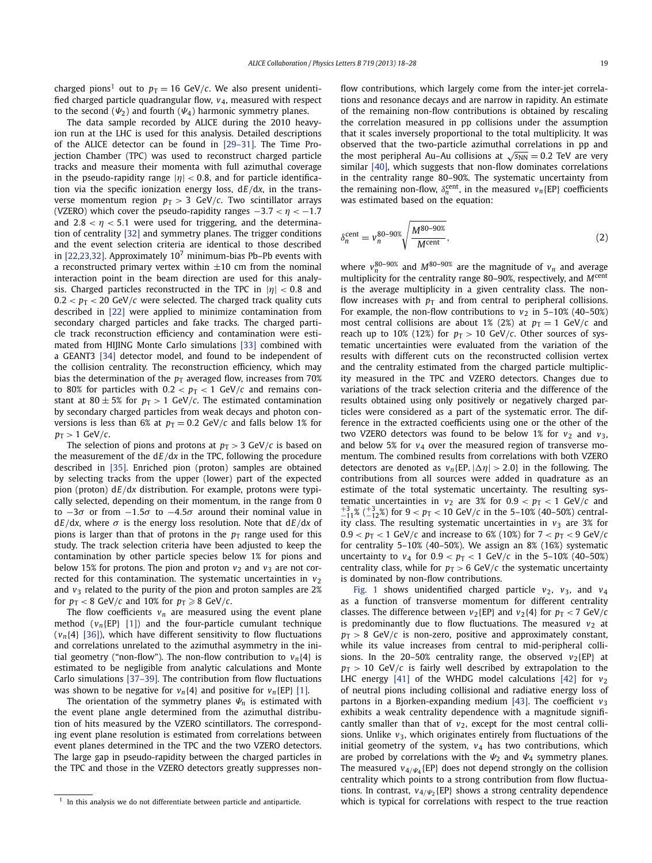charged pions<sup>1</sup> out to  $p_T = 16$  GeV/*c*. We also present unidentified charged particle quadrangular flow, *v*4, measured with respect to the second  $(\Psi_2)$  and fourth  $(\Psi_4)$  harmonic symmetry planes.

The data sample recorded by ALICE during the 2010 heavyion run at the LHC is used for this analysis. Detailed descriptions of the ALICE detector can be found in [\[29–31\].](#page-5-0) The Time Projection Chamber (TPC) was used to reconstruct charged particle tracks and measure their momenta with full azimuthal coverage in the pseudo-rapidity range |*η*| *<* 0*.*8, and for particle identification via the specific ionization energy loss, d*E/*d*x*, in the transverse momentum region  $p_T > 3$  GeV/*c*. Two scintillator arrays (VZERO) which cover the pseudo-rapidity ranges  $-3.7 < \eta < -1.7$ and  $2.8 < \eta < 5.1$  were used for triggering, and the determination of centrality [\[32\]](#page-5-0) and symmetry planes. The trigger conditions and the event selection criteria are identical to those described in [\[22,23,32\].](#page-5-0) Approximately  $10^7$  minimum-bias Pb–Pb events with a reconstructed primary vertex within  $\pm 10$  cm from the nominal interaction point in the beam direction are used for this analysis. Charged particles reconstructed in the TPC in |*η*| *<* 0*.*8 and  $0.2 < p_T < 20$  GeV/*c* were selected. The charged track quality cuts described in [\[22\]](#page-5-0) were applied to minimize contamination from secondary charged particles and fake tracks. The charged particle track reconstruction efficiency and contamination were estimated from HIJING Monte Carlo simulations [\[33\]](#page-5-0) combined with a GEANT3 [\[34\]](#page-5-0) detector model, and found to be independent of the collision centrality. The reconstruction efficiency, which may bias the determination of the  $p_T$  averaged flow, increases from 70% to 80% for particles with  $0.2 < p_T < 1$  GeV/*c* and remains constant at  $80 \pm 5\%$  for  $p_T > 1$  GeV/*c*. The estimated contamination by secondary charged particles from weak decays and photon conversions is less than 6% at  $p_T = 0.2$  GeV/*c* and falls below 1% for  $p_T > 1$  GeV/ $c$ .

The selection of pions and protons at  $p<sub>T</sub> > 3$  GeV/*c* is based on the measurement of the d*E/*d*x* in the TPC, following the procedure described in [\[35\].](#page-5-0) Enriched pion (proton) samples are obtained by selecting tracks from the upper (lower) part of the expected pion (proton) d*E/*d*x* distribution. For example, protons were typically selected, depending on their momentum, in the range from 0 to −3*σ* or from −1*.*5*σ* to −4*.*5*σ* around their nominal value in  $dE/dx$ , where  $\sigma$  is the energy loss resolution. Note that  $dE/dx$  of pions is larger than that of protons in the  $p<sub>T</sub>$  range used for this study. The track selection criteria have been adjusted to keep the contamination by other particle species below 1% for pions and below 15% for protons. The pion and proton  $v_2$  and  $v_3$  are not corrected for this contamination. The systematic uncertainties in  $v_2$ and  $v_3$  related to the purity of the pion and proton samples are 2% for  $p_T < 8$  GeV/*c* and 10% for  $p_T \ge 8$  GeV/*c*.

The flow coefficients  $v_n$  are measured using the event plane method  $(v_n{E}P\{1]\}$  and the four-particle cumulant technique  $(v_n{4}$  [\[36\]\)](#page-5-0), which have different sensitivity to flow fluctuations and correlations unrelated to the azimuthal asymmetry in the initial geometry ("non-flow"). The non-flow contribution to  $v_n{4}$  is estimated to be negligible from analytic calculations and Monte Carlo simulations [\[37–39\].](#page-5-0) The contribution from flow fluctuations was shown to be negative for  $v_n{4}$  and positive for  $v_n{E P}$  [\[1\].](#page-5-0)

The orientation of the symmetry planes  $\Psi_n$  is estimated with the event plane angle determined from the azimuthal distribution of hits measured by the VZERO scintillators. The corresponding event plane resolution is estimated from correlations between event planes determined in the TPC and the two VZERO detectors. The large gap in pseudo-rapidity between the charged particles in the TPC and those in the VZERO detectors greatly suppresses nonflow contributions, which largely come from the inter-jet correlations and resonance decays and are narrow in rapidity. An estimate of the remaining non-flow contributions is obtained by rescaling the correlation measured in pp collisions under the assumption that it scales inversely proportional to the total multiplicity. It was observed that the two-particle azimuthal correlations in pp and the most peripheral Au–Au collisions at  $\sqrt{s_{NN}} = 0.2$  TeV are very similar [\[40\],](#page-5-0) which suggests that non-flow dominates correlations in the centrality range 80–90%. The systematic uncertainty from the remaining non-flow,  $\delta_n^{\text{cent}}$ , in the measured  $v_n$ {EP} coefficients was estimated based on the equation:

$$
\delta_n^{\text{cent}} = v_n^{\text{80-90\%}} \sqrt{\frac{M^{\text{80-90\%}}}{M^{\text{cent}}}},\tag{2}
$$

where  $v_n^{80-90\%}$  and  $M^{80-90\%}$  are the magnitude of  $v_n$  and average multiplicity for the centrality range 80–90%, respectively, and *M*cent is the average multiplicity in a given centrality class. The nonflow increases with  $p_T$  and from central to peripheral collisions. For example, the non-flow contributions to  $v_2$  in 5–10% (40–50%) most central collisions are about 1% (2%) at  $p_T = 1$  GeV/*c* and reach up to 10% (12%) for  $p<sub>T</sub> > 10$  GeV/*c*. Other sources of systematic uncertainties were evaluated from the variation of the results with different cuts on the reconstructed collision vertex and the centrality estimated from the charged particle multiplicity measured in the TPC and VZERO detectors. Changes due to variations of the track selection criteria and the difference of the results obtained using only positively or negatively charged particles were considered as a part of the systematic error. The difference in the extracted coefficients using one or the other of the two VZERO detectors was found to be below 1% for  $v_2$  and  $v_3$ , and below 5% for *v*<sup>4</sup> over the measured region of transverse momentum. The combined results from correlations with both VZERO detectors are denoted as  $v_n$ {EP,  $|\Delta \eta| > 2.0$ } in the following. The contributions from all sources were added in quadrature as an estimate of the total systematic uncertainty. The resulting systematic uncertainties in  $v_2$  are 3% for  $0.9 < p_T < 1$  GeV/*c* and  $^{+3}_{-11}$ % ( $^{+3}_{-12}$ %) for 9 < *p*<sub>T</sub> < 10 GeV/*c* in the 5–10% (40–50%) centrality class. The resulting systematic uncertainties in  $v_3$  are 3% for  $0.9 < p_T < 1$  GeV/*c* and increase to 6% (10%) for  $7 < p_T < 9$  GeV/*c* for centrality 5–10% (40–50%). We assign an 8% (16%) systematic uncertainty to  $v_4$  for  $0.9 < p_T < 1$  GeV/*c* in the 5–10% (40–50%) centrality class, while for  $p<sub>T</sub> > 6$  GeV/*c* the systematic uncertainty is dominated by non-flow contributions.

[Fig. 1](#page-2-0) shows unidentified charged particle  $v_2$ ,  $v_3$ , and  $v_4$ as a function of transverse momentum for different centrality classes. The difference between  $v_2$ {EP} and  $v_2$ {4} for  $p_T < 7$  GeV/*c* is predominantly due to flow fluctuations. The measured  $v_2$  at  $p_T > 8$  GeV/*c* is non-zero, positive and approximately constant, while its value increases from central to mid-peripheral collisions. In the 20-50% centrality range, the observed  $v_2$ {EP} at  $p_T > 10$  GeV/*c* is fairly well described by extrapolation to the LHC energy  $[41]$  of the WHDG model calculations  $[42]$  for  $v_2$ of neutral pions including collisional and radiative energy loss of partons in a Bjorken-expanding medium [\[43\].](#page-5-0) The coefficient *v*<sup>3</sup> exhibits a weak centrality dependence with a magnitude significantly smaller than that of  $v_2$ , except for the most central collisions. Unlike *v*3, which originates entirely from fluctuations of the initial geometry of the system,  $v_4$  has two contributions, which are probed by correlations with the *Ψ*<sup>2</sup> and *Ψ*<sup>4</sup> symmetry planes. The measured  $v_{4/\nu_4}$  {EP} does not depend strongly on the collision centrality which points to a strong contribution from flow fluctuations. In contrast, *v*4*/Ψ*<sup>2</sup> {EP} shows a strong centrality dependence which is typical for correlations with respect to the true reaction

 $1$  In this analysis we do not differentiate between particle and antiparticle.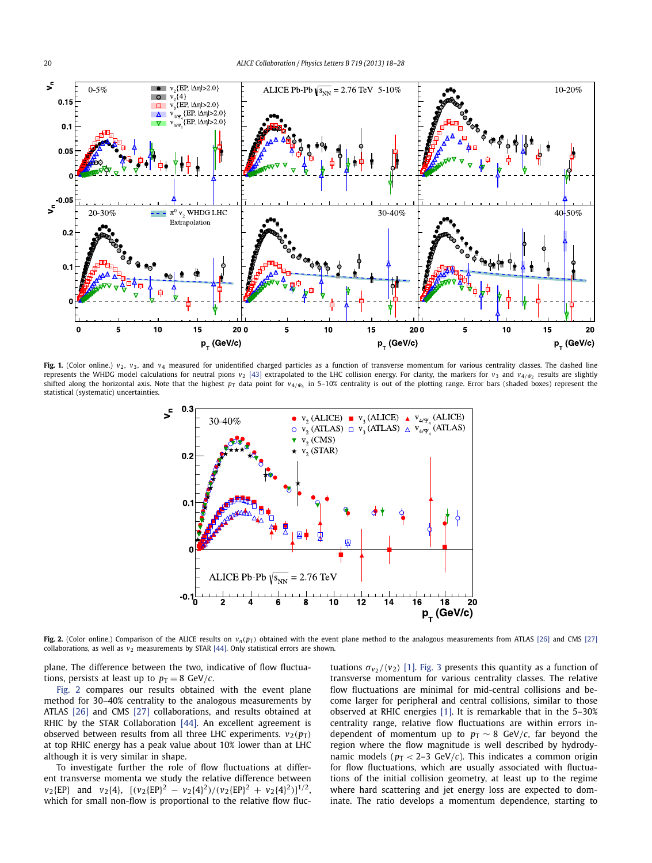<span id="page-2-0"></span>

Fig. 1. (Color online.)  $v_2$ ,  $v_3$ , and  $v_4$  measured for unidentified charged particles as a function of transverse momentum for various centrality classes. The dashed line represents the WHDG model calculations for neutral pions *v*<sub>2</sub> [\[43\]](#page-5-0) extrapolated to the LHC collision energy. For clarity, the markers for *v*<sub>3</sub> and *v*<sub>4/Ψ<sub>2</sub> results are slightly</sub> shifted along the horizontal axis. Note that the highest  $p<sub>T</sub>$  data point for  $v<sub>4</sub>/v<sub>4</sub>$  in 5–10% centrality is out of the plotting range. Error bars (shaded boxes) represent the statistical (systematic) uncertainties.



Fig. 2. (Color online.) Comparison of the ALICE results on  $v_n(p_T)$  obtained with the event plane method to the analogous measurements from ATLAS [\[26\]](#page-5-0) and CMS [\[27\]](#page-5-0) collaborations, as well as  $v_2$  measurements by STAR  $[44]$ . Only statistical errors are shown.

plane. The difference between the two, indicative of flow fluctuations, persists at least up to  $p_T = 8$  GeV/*c*.

Fig. 2 compares our results obtained with the event plane method for 30–40% centrality to the analogous measurements by ATLAS [\[26\]](#page-5-0) and CMS [\[27\]](#page-5-0) collaborations, and results obtained at RHIC by the STAR Collaboration [\[44\].](#page-5-0) An excellent agreement is observed between results from all three LHC experiments.  $v_2(p_T)$ at top RHIC energy has a peak value about 10% lower than at LHC although it is very similar in shape.

To investigate further the role of flow fluctuations at different transverse momenta we study the relative difference between *v*<sub>2</sub>{EP} and *v*<sub>2</sub>{4},  $[(v_2{EP})^2 - v_2{4}^2)/(v_2{EP})^2 + v_2{4}^2]^{1/2}$ , which for small non-flow is proportional to the relative flow fluctuations  $\sigma_{v_2}/\langle v_2 \rangle$  [\[1\].](#page-5-0) [Fig. 3](#page-3-0) presents this quantity as a function of transverse momentum for various centrality classes. The relative flow fluctuations are minimal for mid-central collisions and become larger for peripheral and central collisions, similar to those observed at RHIC energies [\[1\].](#page-5-0) It is remarkable that in the 5–30% centrality range, relative flow fluctuations are within errors independent of momentum up to  $p_T \sim 8$  GeV/*c*, far beyond the region where the flow magnitude is well described by hydrodynamic models ( $p_T < 2-3$  GeV/*c*). This indicates a common origin for flow fluctuations, which are usually associated with fluctuations of the initial collision geometry, at least up to the regime where hard scattering and jet energy loss are expected to dominate. The ratio develops a momentum dependence, starting to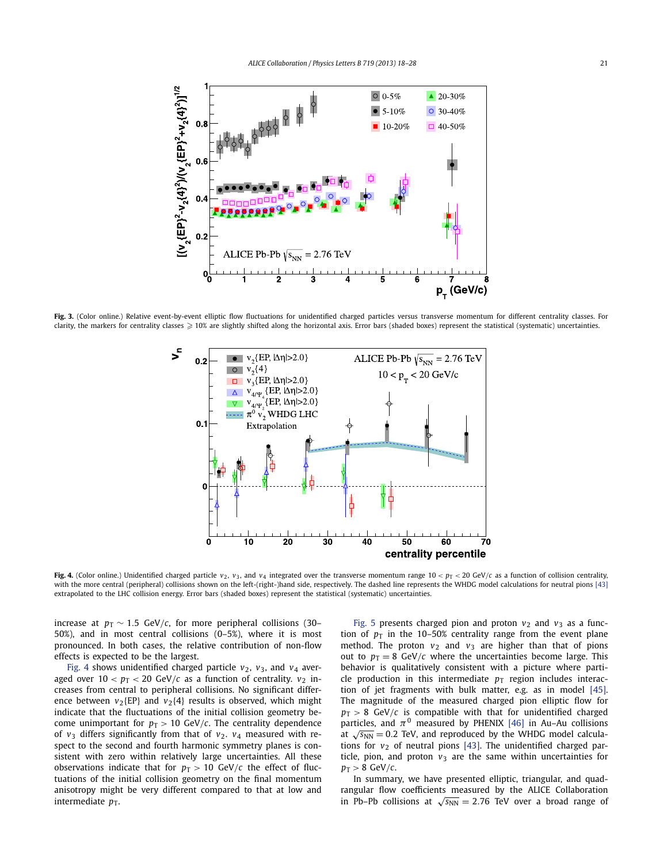<span id="page-3-0"></span>

Fig. 3. (Color online.) Relative event-by-event elliptic flow fluctuations for unidentified charged particles versus transverse momentum for different centrality classes. For clarity, the markers for centrality classes  $\geqslant$  10% are slightly shifted along the horizontal axis. Error bars (shaded boxes) represent the statistical (systematic) uncertainties.



Fig. 4. (Color online.) Unidentified charged particle  $v_2$ ,  $v_3$ , and  $v_4$  integrated over the transverse momentum range 10 <  $p_T$  < 20 GeV/c as a function of collision centrality, with the more central (peripheral) collisions shown on the left-(right-)hand side, respectively. The dashed line represents the WHDG model calculations for neutral pions [\[43\]](#page-5-0) extrapolated to the LHC collision energy. Error bars (shaded boxes) represent the statistical (systematic) uncertainties.

increase at  $p_T \sim 1.5$  GeV/*c*, for more peripheral collisions (30– 50%), and in most central collisions (0–5%), where it is most pronounced. In both cases, the relative contribution of non-flow effects is expected to be the largest.

Fig. 4 shows unidentified charged particle  $v_2$ ,  $v_3$ , and  $v_4$  averaged over  $10 < p_T < 20$  GeV/*c* as a function of centrality.  $v_2$  increases from central to peripheral collisions. No significant difference between  $v_2$ {EP} and  $v_2$ {4} results is observed, which might indicate that the fluctuations of the initial collision geometry become unimportant for  $p_T > 10$  GeV/*c*. The centrality dependence of  $v_3$  differs significantly from that of  $v_2$ .  $v_4$  measured with respect to the second and fourth harmonic symmetry planes is consistent with zero within relatively large uncertainties. All these observations indicate that for  $p<sub>T</sub> > 10$  GeV/*c* the effect of fluctuations of the initial collision geometry on the final momentum anisotropy might be very different compared to that at low and intermediate  $p_T$ .

[Fig. 5](#page-4-0) presents charged pion and proton  $v_2$  and  $v_3$  as a function of  $p_T$  in the 10–50% centrality range from the event plane method. The proton  $v_2$  and  $v_3$  are higher than that of pions out to  $p_T = 8$  GeV/*c* where the uncertainties become large. This behavior is qualitatively consistent with a picture where particle production in this intermediate  $p_T$  region includes interaction of jet fragments with bulk matter, e.g. as in model [\[45\].](#page-5-0) The magnitude of the measured charged pion elliptic flow for  $p_T > 8$  GeV/*c* is compatible with that for unidentified charged particles, and  $\pi^0$  measured by PHENIX [\[46\]](#page-5-0) in Au-Au collisions at  $\sqrt{s_{NN}}$  = 0.2 TeV, and reproduced by the WHDG model calculations for  $v_2$  of neutral pions [\[43\].](#page-5-0) The unidentified charged particle, pion, and proton  $v_3$  are the same within uncertainties for  $p_T > 8$  GeV/*c*.

In summary, we have presented elliptic, triangular, and quadrangular flow coefficients measured by the ALICE Collaboration in Pb–Pb collisions at  $\sqrt{s_{NN}} = 2.76$  TeV over a broad range of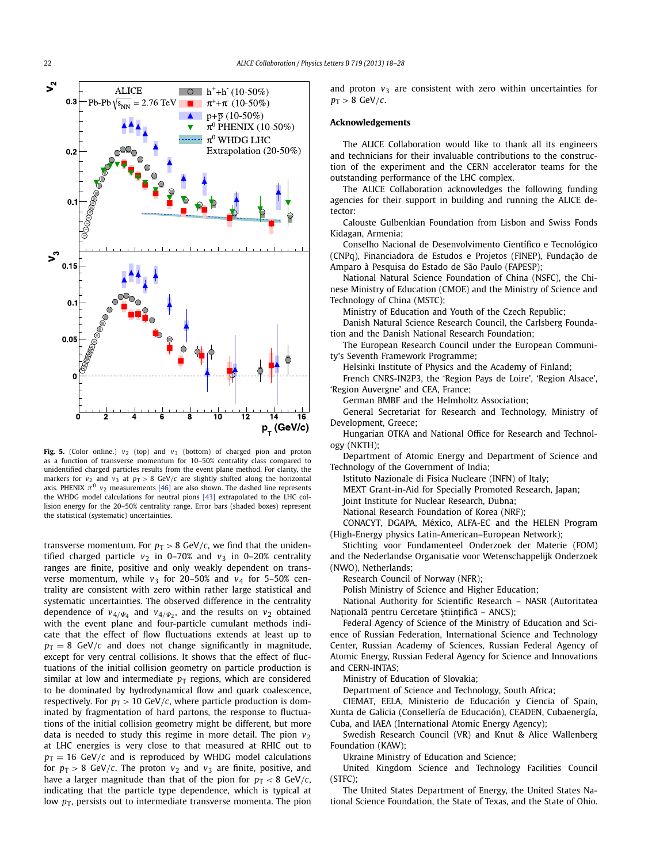<span id="page-4-0"></span>

Fig. 5. (Color online.)  $v_2$  (top) and  $v_3$  (bottom) of charged pion and proton as a function of transverse momentum for 10–50% centrality class compared to unidentified charged particles results from the event plane method. For clarity, the markers for  $v_2$  and  $v_3$  at  $p_T > 8$  GeV/*c* are slightly shifted along the horizontal axis. PHENIX  $\pi^0$   $v_2$  measurements [\[46\]](#page-5-0) are also shown. The dashed line represents the WHDG model calculations for neutral pions [\[43\]](#page-5-0) extrapolated to the LHC collision energy for the 20–50% centrality range. Error bars (shaded boxes) represent the statistical (systematic) uncertainties.

transverse momentum. For  $p_T > 8$  GeV/*c*, we find that the unidentified charged particle  $v_2$  in 0–70% and  $v_3$  in 0–20% centrality ranges are finite, positive and only weakly dependent on transverse momentum, while  $v_3$  for 20-50% and  $v_4$  for 5-50% centrality are consistent with zero within rather large statistical and systematic uncertainties. The observed difference in the centrality dependence of  $v_{4/\Psi_4}$  and  $v_{4/\Psi_2}$ , and the results on  $v_2$  obtained with the event plane and four-particle cumulant methods indicate that the effect of flow fluctuations extends at least up to  $p_T = 8$  GeV/*c* and does not change significantly in magnitude, except for very central collisions. It shows that the effect of fluctuations of the initial collision geometry on particle production is similar at low and intermediate  $p_T$  regions, which are considered to be dominated by hydrodynamical flow and quark coalescence, respectively. For  $p_T > 10$  GeV/*c*, where particle production is dominated by fragmentation of hard partons, the response to fluctuations of the initial collision geometry might be different, but more data is needed to study this regime in more detail. The pion  $v_2$ at LHC energies is very close to that measured at RHIC out to  $p_T = 16$  GeV/*c* and is reproduced by WHDG model calculations for  $p_T > 8$  GeV/*c*. The proton  $v_2$  and  $v_3$  are finite, positive, and have a larger magnitude than that of the pion for  $p_T < 8$  GeV/*c*, indicating that the particle type dependence, which is typical at low  $p_T$ , persists out to intermediate transverse momenta. The pion and proton  $v_3$  are consistent with zero within uncertainties for  $p_T > 8$  GeV/ $c$ .

### **Acknowledgements**

The ALICE Collaboration would like to thank all its engineers and technicians for their invaluable contributions to the construction of the experiment and the CERN accelerator teams for the outstanding performance of the LHC complex.

The ALICE Collaboration acknowledges the following funding agencies for their support in building and running the ALICE detector:

Calouste Gulbenkian Foundation from Lisbon and Swiss Fonds Kidagan, Armenia;

Conselho Nacional de Desenvolvimento Científico e Tecnológico (CNPq), Financiadora de Estudos e Projetos (FINEP), Fundação de Amparo à Pesquisa do Estado de São Paulo (FAPESP);

National Natural Science Foundation of China (NSFC), the Chinese Ministry of Education (CMOE) and the Ministry of Science and Technology of China (MSTC);

Ministry of Education and Youth of the Czech Republic;

Danish Natural Science Research Council, the Carlsberg Foundation and the Danish National Research Foundation;

The European Research Council under the European Community's Seventh Framework Programme;

Helsinki Institute of Physics and the Academy of Finland;

French CNRS-IN2P3, the 'Region Pays de Loire', 'Region Alsace', 'Region Auvergne' and CEA, France;

German BMBF and the Helmholtz Association;

General Secretariat for Research and Technology, Ministry of Development, Greece;

Hungarian OTKA and National Office for Research and Technology (NKTH);

Department of Atomic Energy and Department of Science and Technology of the Government of India;

Istituto Nazionale di Fisica Nucleare (INFN) of Italy;

MEXT Grant-in-Aid for Specially Promoted Research, Japan;

Joint Institute for Nuclear Research, Dubna;

National Research Foundation of Korea (NRF);

CONACYT, DGAPA, México, ALFA-EC and the HELEN Program (High-Energy physics Latin-American–European Network);

Stichting voor Fundamenteel Onderzoek der Materie (FOM) and the Nederlandse Organisatie voor Wetenschappelijk Onderzoek (NWO), Netherlands;

Research Council of Norway (NFR);

Polish Ministry of Science and Higher Education;

National Authority for Scientific Research – NASR (Autoritatea Națională pentru Cercetare Științifică – ANCS);

Federal Agency of Science of the Ministry of Education and Science of Russian Federation, International Science and Technology Center, Russian Academy of Sciences, Russian Federal Agency of Atomic Energy, Russian Federal Agency for Science and Innovations and CERN-INTAS;

Ministry of Education of Slovakia;

Department of Science and Technology, South Africa;

CIEMAT, EELA, Ministerio de Educación y Ciencia of Spain, Xunta de Galicia (Consellería de Educación), CEADEN, Cubaenergía, Cuba, and IAEA (International Atomic Energy Agency);

Swedish Research Council (VR) and Knut & Alice Wallenberg Foundation (KAW);

Ukraine Ministry of Education and Science;

United Kingdom Science and Technology Facilities Council (STFC);

The United States Department of Energy, the United States National Science Foundation, the State of Texas, and the State of Ohio.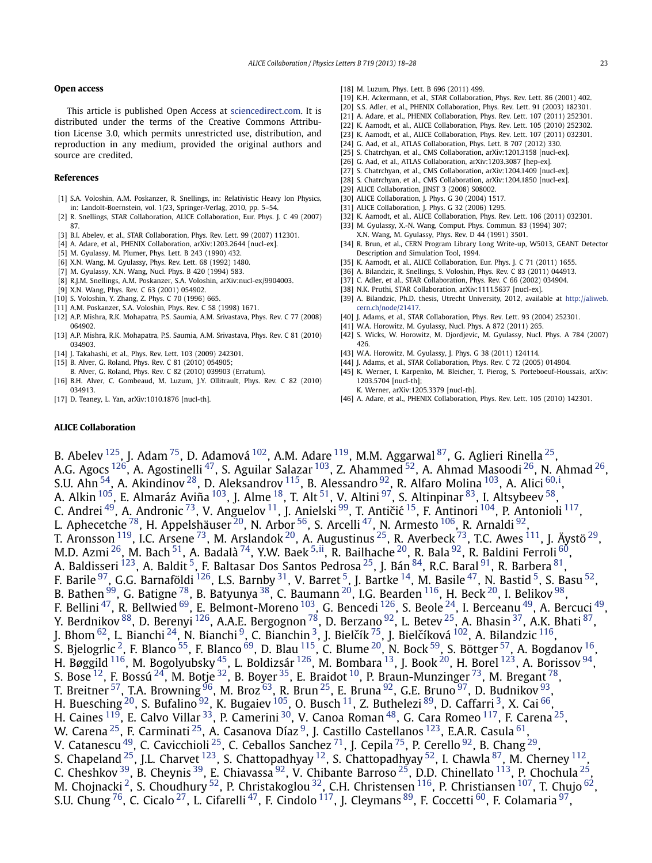### <span id="page-5-0"></span>**Open access**

This article is published Open Access at [sciencedirect.com.](http://www.sciencedirect.com) It is distributed under the terms of the Creative Commons Attribution License 3.0, which permits unrestricted use, distribution, and reproduction in any medium, provided the original authors and source are credited.

### **References**

- [1] S.A. Voloshin, A.M. Poskanzer, R. Snellings, in: Relativistic Heavy Ion Physics, in: Landolt-Boernstein, vol. 1/23, Springer-Verlag, 2010, pp. 5–54.
- [2] R. Snellings, STAR Collaboration, ALICE Collaboration, Eur. Phys. J. C 49 (2007) 87.
- [3] B.I. Abelev, et al., STAR Collaboration, Phys. Rev. Lett. 99 (2007) 112301.
- [4] A. Adare, et al., PHENIX Collaboration, arXiv:1203.2644 [nucl-ex].
- [5] M. Gyulassy, M. Plumer, Phys. Lett. B 243 (1990) 432.
- [6] X.N. Wang, M. Gyulassy, Phys. Rev. Lett. 68 (1992) 1480.
- [7] M. Gyulassy, X.N. Wang, Nucl. Phys. B 420 (1994) 583.
- [8] R.J.M. Snellings, A.M. Poskanzer, S.A. Voloshin, arXiv:nucl-ex/9904003.
- [9] X.N. Wang, Phys. Rev. C 63 (2001) 054902.
- [10] S. Voloshin, Y. Zhang, Z. Phys. C 70 (1996) 665.
- [11] A.M. Poskanzer, S.A. Voloshin, Phys. Rev. C 58 (1998) 1671.
- [12] A.P. Mishra, R.K. Mohapatra, P.S. Saumia, A.M. Srivastava, Phys. Rev. C 77 (2008) 064902.
- [13] A.P. Mishra, R.K. Mohapatra, P.S. Saumia, A.M. Srivastava, Phys. Rev. C 81 (2010) 034903.
- [14] J. Takahashi, et al., Phys. Rev. Lett. 103 (2009) 242301.
- [15] B. Alver, G. Roland, Phys. Rev. C 81 (2010) 054905;
- B. Alver, G. Roland, Phys. Rev. C 82 (2010) 039903 (Erratum).
- [16] B.H. Alver, C. Gombeaud, M. Luzum, J.Y. Ollitrault, Phys. Rev. C 82 (2010) 034913.
- [17] D. Teaney, L. Yan, arXiv:1010.1876 [nucl-th].
- [18] M. Luzum, Phys. Lett. B 696 (2011) 499.
- [19] K.H. Ackermann, et al., STAR Collaboration, Phys. Rev. Lett. 86 (2001) 402.
- [20] S.S. Adler, et al., PHENIX Collaboration, Phys. Rev. Lett. 91 (2003) 182301.
- [21] A. Adare, et al., PHENIX Collaboration, Phys. Rev. Lett. 107 (2011) 252301.
- [22] K. Aamodt, et al., ALICE Collaboration, Phys. Rev. Lett. 105 (2010) 252302. [23] K. Aamodt, et al., ALICE Collaboration, Phys. Rev. Lett. 107 (2011) 032301.
- [24] G. Aad, et al., ATLAS Collaboration, Phys. Lett. B 707 (2012) 330.
- [25] S. Chatrchyan, et al., CMS Collaboration, arXiv:1201.3158 [nucl-ex].
- [26] G. Aad, et al., ATLAS Collaboration, arXiv:1203.3087 [hep-ex].
- [27] S. Chatrchyan, et al., CMS Collaboration, arXiv:1204.1409 [nucl-ex].
- [28] S. Chatrchyan, et al., CMS Collaboration, arXiv:1204.1850 [nucl-ex].
- [29] ALICE Collaboration, JINST 3 (2008) S08002.
- [30] ALICE Collaboration, J. Phys. G 30 (2004) 1517.
- [31] ALICE Collaboration, J. Phys. G 32 (2006) 1295.
- [32] K. Aamodt, et al., ALICE Collaboration, Phys. Rev. Lett. 106 (2011) 032301.
- [33] M. Gyulassy, X.-N. Wang, Comput. Phys. Commun. 83 (1994) 307; X.N. Wang, M. Gyulassy, Phys. Rev. D 44 (1991) 3501.
- [34] R. Brun, et al., CERN Program Library Long Write-up, W5013, GEANT Detector Description and Simulation Tool, 1994.
- [35] K. Aamodt, et al., ALICE Collaboration, Eur. Phys. J. C 71 (2011) 1655.
- [36] A. Bilandzic, R. Snellings, S. Voloshin, Phys. Rev. C 83 (2011) 044913.
- [37] C. Adler, et al., STAR Collaboration, Phys. Rev. C 66 (2002) 034904.
- [38] N.K. Pruthi, STAR Collaboration, arXiv:1111.5637 [nucl-ex].
- [39] A. Bilandzic, Ph.D. thesis, Utrecht University, 2012, available at [http://aliweb.](http://aliweb.cern.ch/node/21417) [cern.ch/node/21417.](http://aliweb.cern.ch/node/21417)
- [40] J. Adams, et al., STAR Collaboration, Phys. Rev. Lett. 93 (2004) 252301.
- [41] W.A. Horowitz, M. Gyulassy, Nucl. Phys. A 872 (2011) 265.
- [42] S. Wicks, W. Horowitz, M. Djordjevic, M. Gyulassy, Nucl. Phys. A 784 (2007) 426.
- [43] W.A. Horowitz, M. Gyulassy, J. Phys. G 38 (2011) 124114.
- [44] J. Adams, et al., STAR Collaboration, Phys. Rev. C 72 (2005) 014904.
- [45] K. Werner, I. Karpenko, M. Bleicher, T. Pierog, S. Porteboeuf-Houssais, arXiv: 1203.5704 [nucl-th]; K. Werner, arXiv:1205.3379 [nucl-th].
- [46] A. Adare, et al., PHENIX Collaboration, Phys. Rev. Lett. 105 (2010) 142301.

## **ALICE Collaboration**

B. Abelev <sup>125</sup>, J. Adam <sup>75</sup>, D. Adamová <sup>102</sup>, A.M. Adare <sup>119</sup>, M.M. Aggarwal <sup>87</sup>, G. Aglieri Rinella <sup>25</sup>, A.G. Agocs  $^{126}$ , A. Agostinelli $^{47}$ , S. Aguilar Salazar  $^{103}$ , Z. Ahammed  $^{52}$ , A. Ahmad Masoodi  $^{26}$ , N. Ahmad  $^{26}$ , S.U. Ahn <sup>54</sup>, A. Akindinov <sup>28</sup>, D. Aleksandrov <sup>115</sup>, B. Alessandro <sup>92</sup>, R. Alfaro Molina <sup>103</sup>, A. Alici <sup>[60](#page-9-0), [i](#page-9-0)</sup>, A. Alkin <sup>105</sup>, E. Almaráz Aviña <sup>103</sup>, J. Alme <sup>18</sup>, T. Alt <sup>51</sup>, V. Altini <sup>97</sup>, S. Altinpinar <sup>83</sup>, I. Altsybeev <sup>58</sup>, C. Andrei <sup>49</sup>, A. Andronic <sup>73</sup>, V. Anguelov <sup>11</sup>, J. Anielski <sup>99</sup>, T. Antičić <sup>15</sup>, F. Antinori <sup>104</sup>, P. Antonioli <sup>117</sup>, L. Aphecetche  $^{78}$ , H. Appelshäuser  $^{20}$ , N. Arbor  $^{56}$ , S. Arcelli  $^{47}$ , N. Armesto  $^{106}$ , R. Arnaldi  $^{92}$ , T. Aronsson  $^{119}$ , I.C. Arsene  $^{73}$ , M. Arslandok  $^{20}$ , A. Augustinus  $^{25}$ , R. Averbeck  $^{73}$ , T.C. Awes  $^{111}$ , J. Äystö  $^{29}$ , M.D. Azmi [26,](#page-8-0) M. Bach [51,](#page-8-0) A. Badalà [74](#page-9-0), Y.W. Baek [5](#page-8-0)*,*[ii,](#page-9-0) R. Bailhache [20,](#page-8-0) R. Bala [92,](#page-9-0) R. Baldini Ferroli [60](#page-9-0), A. Baldisseri <sup>123</sup>, A. Baldit <sup>5</sup>, F. Baltasar Dos Santos Pedrosa <sup>25</sup>, J. Bán <sup>84</sup>, R.C. Baral <sup>91</sup>, R. Barbera <sup>81</sup>, F. Barile  $^{97}$ , G.G. Barnaföldi  $^{126}$ , L.S. Barnby  $^{31}$ , V. Barret  $^5$ , J. Bartke  $^{14}$ , M. Basile  $^{47}$ , N. Bastid  $^5$ , S. Basu  $^{52}$ , B. Bathen  $^{99}$ , G. Batigne  $^{78}$ , B. Batyunya  $^{38}$ , C. Baumann  $^{20}$ , I.G. Bearden  $^{116}$ , H. Beck  $^{20}$ , I. Belikov  $^{98}$ , F. Bellini  $^{47}$ , R. Bellwied  $^{69}$ , E. Belmont-Moreno  $^{103}$ , G. Bencedi  $^{126}$ , S. Beole  $^{24}$ , I. Berceanu  $^{49}$ , A. Bercuci  $^{49}$ , Y. Berdnikov <sup>88</sup>, D. Berenyi <sup>126</sup>, A.A.E. Bergognon <sup>78</sup>, D. Berzano <sup>92</sup>, L. Betev <sup>25</sup>, A. Bhasin <sup>37</sup>, A.K. Bhati <sup>[87](#page-9-0)</sup>, J. Bhom  $^{62}$ , L. Bianchi  $^{24}$  $^{24}$  $^{24}$ , N. Bianchi  $^{9}$ , C. Bianchin  $^{3}$ , J. Bielčík  $^{75}$ , J. Bielčíková  $^{102}$ , A. Bilandzic  $^{116}$  $^{116}$  $^{116}$ , S. Bjelogrlic <sup>2</sup>, F. Blanco <sup>55</sup>, F. Blanco <sup>69</sup>, D. Blau <sup>[115](#page-9-0)</sup>, C. Blume <sup>[20](#page-8-0)</sup>, N. Bock <sup>59</sup>, S. Böttger <sup>57</sup>, A. Bogdanov <sup>16</sup>, H. Bøggild <sup>116</sup>, M. Bogolyubsky <sup>45</sup>, L. Boldizsár <sup>126</sup>, M. Bombara <sup>[13](#page-8-0)</sup>, J. Book <sup>20</sup>, H. Borel <sup>123</sup>, A. Borissov <sup>94</sup>, S. Bose  $^{12}$ , F. Bossú  $^{24}$ , M. Botje  $^{32}$ , B. Boyer  $^{35}$ , E. Braidot  $^{10}$ , P. Braun-Munzinger  $^{73}$ , M. Bregant  $^{78}$ , T. Breitner  $^{57}$ , T.A. Browning  $^{96}$ , M. Broz  $^{63}$ , R. Brun  $^{25}$ , E. Bruna  $^{92}$ , G.E. Bruno  $^{97}$ , D. Budnikov  $^{93}$ , H. Buesching  $^{20}$ , S. Bufalino  $^{92}$ , K. Bugaiev  $^{105}$ , O. Busch  $^{11}$ , Z. Buthelezi  $^{89}$ , D. Caffarri  $^3$ , X. Cai  $^{66}$ , H. Caines  $^{119}$ , E. Calvo Villar  $^{33}$ , P. Camerini  $^{30}$ , V. Canoa Roman  $^{48}$  $^{48}$  $^{48}$ , G. Cara Romeo  $^{117}$ , F. Carena  $^{25}$  $^{25}$  $^{25}$ , W. Carena $^{25}$ , F. Carminati $^{25}$ , A. Casanova Díaz $^9$ , J. Castillo Castellanos  $^{123}$ , E.A.R. Casula  $^{61}$ , V. Catanescu  $^{49}$ , C. Cavicchioli  $^{25}$ , C. Ceballos Sanchez  $^{71}$ , J. Cepila  $^{75}$ , P. Cerello  $^{92}$ , B. Chang  $^{29}$ , S. Chapeland <sup>25</sup>, J.L. Charvet <sup>123</sup>, S. Chattopadhyay <sup>12</sup>, S. Chattopadhyay <sup>52</sup>, I. Chawla <sup>87</sup>, M. Cherney <sup>112</sup>, C. Cheshkov<sup>39</sup>, B. Cheynis<sup>39</sup>, E. Chiavassa<sup>[92](#page-9-0)</sup>, V. Chibante Barroso<sup>25</sup>, D.D. Chinellato <sup>113</sup>, P. Chochula <sup>25</sup>, M. Chojnacki<sup>2</sup>, S. Choudhury <sup>52</sup>, P. Christakoglou <sup>32</sup>, C.H. Christensen <sup>116</sup>, P. Christiansen <sup>[107](#page-9-0)</sup>, T. Chujo <sup>62</sup>, S.U. Chung <sup>[76](#page-9-0)</sup>, C. Cicalo <sup>27</sup>, L. Cifarelli <sup>47</sup>, F. Cindolo <sup>117</sup>, J. Cleymans <sup>[89](#page-9-0)</sup>, F. Coccetti <sup>60</sup>, F. Colamaria <sup>97</sup>,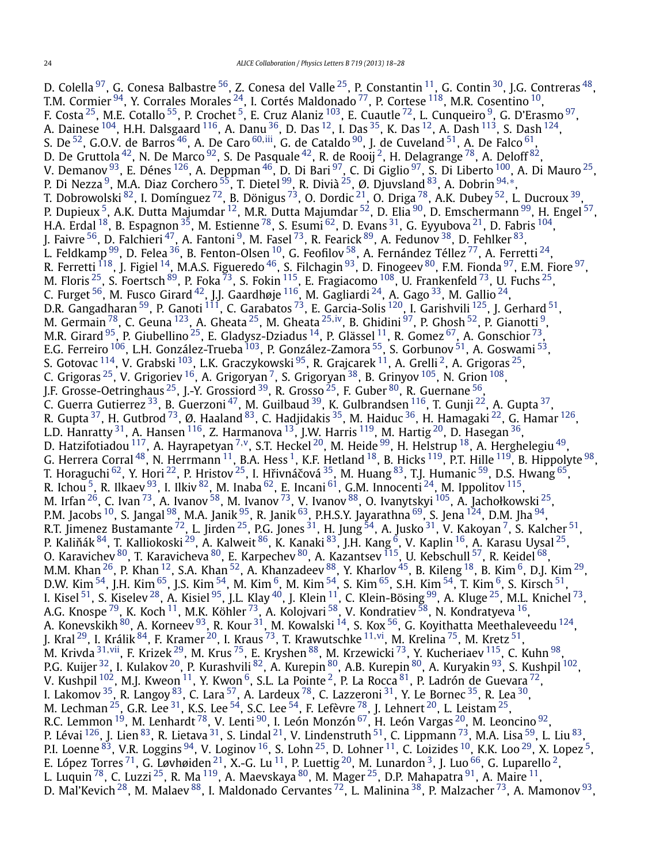D. Colella $^{97}$ , G. Conesa Balbastre $^{56}$ , Z. Conesa del Valle $^{25}$  $^{25}$  $^{25}$ , P. Constantin $^{11}$  $^{11}$  $^{11}$ , G. Contin $^{30}$ , J.G. Contreras $^{48},$ T.M. Cormier  $^{94}$ , Y. Corrales Morales  $^{24}$ , I. Cortés Maldonado  $^{77}$ , P. Cortese  $^{118}$ , M.R. Cosentino  $^{10}$ , F. Costa $^{25}$ , M.E. Cotallo $^{55}$ , P. Crochet $^5$ , E. Cruz Alaniz  $^{103}$ , E. Cuautle $^{72}$ , L. Cunqueiro $^9$ , G. D'Erasmo $^{97}$ , A. Dainese  $^{104}$  $^{104}$  $^{104}$ , H.H. Dalsgaard  $^{116}$ , A. Danu  $^{36}$ , D. Das  $^{12}$ , I. Das  $^{35}$ , K. Das  $^{12}$ , A. Dash  $^{113}$  $^{113}$  $^{113}$ , S. Dash  $^{124}$ , S. De <sup>52</sup>, G.O.V. de Barros <sup>46</sup>, A. De Caro <sup>[60](#page-9-0),iii</sup>, G. de Cataldo <sup>90</sup>, J. de Cuveland <sup>51</sup>, A. De Falco <sup>[61](#page-9-0)</sup>, D. De Gruttola  $^{42}$  $^{42}$  $^{42}$ , N. De Marco  $^{92}$ , S. De Pasquale  $^{42}$ , R. de Rooij  $^2$ , H. Delagrange  $^{78}$ , A. Deloff  $^{82}$ , V. Demanov  $^{93}$ , E. Dénes  $^{126}$ , A. Deppman  $^{46}$ , D. Di Bari  $^{97}$ , C. Di Giglio  $^{97}$ , S. Di Liberto  $^{100}$ , A. Di Mauro  $^{25}$  $^{25}$  $^{25}$ , P. Di Nezza <sup>9</sup>, M.A. Diaz Corchero <sup>55</sup>, T. Dietel <sup>[99](#page-9-0)</sup>, R. Divià <sup>25</sup>, Ø. Djuvsland <sup>83</sup>, A. Dobrin <sup>[94](#page-9-0),[∗](#page-9-0)</sup>, T. Dobrowolski  $^{82}$ , I. Domínguez  $^{72}$ , B. Dönigus  $^{73}$ , O. Dordic  $^{21}$ , O. Driga  $^{78}$ , A.K. Dubey  $^{52}$ , L. Ducroux  $^{39}$ , P. Dupieux <sup>5</sup>, A.K. Dutta Majumdar <sup>12</sup>, M.R. Dutta Majumdar <sup>52</sup>, D. Elia <sup>[90](#page-9-0)</sup>, D. Emschermann <sup>99</sup>, H. Engel <sup>57</sup>, H.A. Erdal  $^{18}$ , B. Espagnon  $^{35}$ , M. Estienne  $^{78}$ , S. Esumi  $^{62}$ , D. Evans  $^{31}$ , G. Eyyubova  $^{21}$ , D. Fabris  $^{104}$ , J. Faivre  $^{56}$  $^{56}$  $^{56}$ , D. Falchieri  $^{47}$ , A. Fantoni  $^9$ , M. Fasel  $^{73}$ , R. Fearick  $^{89}$ , A. Fedunov  $^{38}$ , D. Fehlker  $^{83},$ L. Feldkamp  $^{99}$ , D. Felea  $^{36}$ , B. Fenton-Olsen  $^{10}$ , G. Feofilov  $^{58}$ , A. Fernández Téllez  $^{77}$ , A. Ferretti  $^{24}$ , R. Ferretti  $^{118}$ , J. Figiel  $^{14}$ , M.A.S. Figueredo  $^{46}$ , S. Filchagin  $^{93}$ , D. Finogeev  $^{80}$ , F.M. Fionda  $^{97}$ , E.M. Fiore  $^{97}$ , M. Floris  $^{25}$ , S. Foertsch  $^{89}$ , P. Foka  $^{73}$ , S. Fokin  $^{115}$ , E. Fragiacomo  $^{108}$ , U. Frankenfeld  $^{73}$ , U. Fuchs  $^{25}$ , C. Furget  $^{56}$ , M. Fusco Girard  $^{42}$  $^{42}$  $^{42}$ , J.J. Gaardhøje  $^{116}$ , M. Gagliardi  $^{24}$ , A. Gago  $^{33}$ , M. Gallio  $^{24}$ , D.R. Gangadharan  $^{59}$ , P. Ganoti  $^{111}$ , C. Garabatos  $^{73}$ , E. Garcia-Solis  $^{120}$ , I. Garishvili  $^{125}$ , J. Gerhard  $^{51}$ , M. Germain [78,](#page-9-0) C. Geuna [123,](#page-9-0) A. Gheata [25,](#page-8-0) M. Gheata [25](#page-8-0)*,*[iv](#page-9-0), B. Ghidini [97,](#page-9-0) P. Ghosh [52,](#page-8-0) P. Gianotti [9,](#page-8-0) M.R. Girard  $^{95}$ , P. Giubellino  $^{25}$ , E. Gladysz-Dziadus  $^{14}$ , P. Glässel  $^{11}$ , R. Gomez  $^{67}$ , A. Gonschior  $^{73}$ , E.G. Ferreiro <sup>106</sup>, L.H. González-Trueba <sup>103</sup>, P. González-Zamora <sup>55</sup>, S. Gorbunov <sup>51</sup>, A. Goswami <sup>53</sup>, S. Gotovac  $^{114}$ , V. Grabski  $^{103}$ , L.K. Graczykowski  $^{95}$ , R. Grajcarek  $^{11}$ , A. Grelli  $^2$ , A. Grigoras  $^{25}$ , C. Grigoras  $^{25}$ , V. Grigoriev  $^{16}$ , A. Grigoryan  $^7$ , S. Grigoryan  $^{38}$  $^{38}$  $^{38}$ , B. Grinyov  $^{105}$ , N. Grion  $^{108}$ , J.F. Grosse-Oetringhaus <sup>25</sup>, J.-Y. Grossiord <sup>39</sup>, R. Grosso <sup>25</sup>, F. Guber <sup>80</sup>, R. Guernane <sup>[56](#page-8-0)</sup>, C. Guerra Gutierrez <sup>33</sup>, B. Guerzoni <sup>47</sup>, M. Guilbaud <sup>39</sup>, K. Gulbrandsen <sup>116</sup>, T. Gunji <sup>[22](#page-8-0)</sup>, A. Gupta <sup>37</sup>, R. Gupta  $^{37}$ , H. Gutbrod  $^{73}$ , Ø. Haaland  $^{83}$ , C. Hadjidakis  $^{35}$ , M. Haiduc  $^{36}$ , H. Hamagaki  $^{22}$ , G. Hamar  $^{126}$ , L.D. Hanratty  $^{31}$ , A. Hansen  $^{116}$ , Z. Harmanova  $^{13}$ , J.W. Harris  $^{119}$ , M. Hartig  $^{20}$ , D. Hasegan  $^{36}$ , D. Hatzifotiadou [117,](#page-9-0) A. Hayrapetyan [7](#page-8-0)*,*[v,](#page-9-0) S.T. Heckel [20,](#page-8-0) M. Heide [99,](#page-9-0) H. Helstrup [18,](#page-8-0) A. Herghelegiu [49,](#page-8-0) G. Herrera Corral  $^{48}$ , N. Herrmann  $^{11}$  $^{11}$  $^{11}$ , B.A. Hess  $^1$ , K.F. Hetland  $^{18}$ , B. Hicks  $^{119}$ , P.T. Hille  $^{119}$ , B. Hippolyte  $^{98}$ , T. Horaguchi  $^{62}$ , Y. Hori  $^{22}$ , P. Hristov  $^{25}$ , I. Hřivnáčová  $^{35}$ , M. Huang  $^{83}$ , T.J. Humanic  $^{59}$ , D.S. Hwang  $^{65}$ , R. Ichou  $^5$ , R. Ilkaev  $^{93}$ , I. Ilkiv  $^{82}$ , M. Inaba  $^{62}$ , E. Incani  $^{61}$ , G.M. Innocenti  $^{24}$ , M. Ippolitov  $^{115}$ , M. Irfan  $^{26}$ , C. Ivan  $^{73}$  $^{73}$  $^{73}$ , A. Ivanov  $^{58}$ , M. Ivanov  $^{73}$ , V. Ivanov  $^{88}$ , O. Ivanytskyi  $^{105}$ , A. Jachołkowski  $^{25}$ , P.M. Jacobs <sup>10</sup>, S. Jangal <sup>[98](#page-9-0)</sup>, M.A. Janik <sup>95</sup>, R. Janik <sup>63</sup>, P.H.S.Y. Jayarathna <sup>69</sup>, S. Jena <sup>[124](#page-9-0)</sup>, D.M. Jha <sup>94</sup>, R.T. Jimenez Bustamante  $^{72}$ , L. Jirden  $^{25}$ , P.G. Jones  $^{31}$ , H. Jung  $^{54}$ , A. Jusko  $^{31}$ , V. Kakoyan  $^7$ , S. Kalcher  $^{51}$ , P. Kaliňák $^{84}$ , T. Kalliokoski $^{29}$ , A. Kalweit $^{86}$ , K. Kanaki $^{83}$ , J.H. Kang $^6$ , V. Kaplin $^{16}$ , A. Karasu Uysal $^{25}$ , O. Karavichev  $^{80}$ , T. Karavicheva  $^{80}$ , E. Karpechev  $^{80}$ , A. Kazantsev  $^{115}$ , U. Kebschull  $^{57}$ , R. Keidel  $^{68}$ , M.M. Khan  $^{26}$ , P. Khan  $^{12}$ , S.A. Khan  $^{52}$ , A. Khanzadeev  $^{88}$ , Y. Kharlov  $^{45}$ , B. Kileng  $^{18}$  $^{18}$  $^{18}$ , B. Kim  $^6$ , D.J. Kim  $^{29}$ , D.W. Kim  $^{54}$  $^{54}$  $^{54}$ , J.H. Kim  $^{65}$ , J.S. Kim  $^{54}$ , M. Kim  $^6$ , M. Kim  $^{54}$ , S. Kim  $^{65}$ , S.H. Kim  $^{54}$ , T. Kim  $^6$ , S. Kirsch  $^{51}$ , I. Kisel  $^{51}$ , S. Kiselev  $^{28}$  $^{28}$  $^{28}$ , A. Kisiel  $^{95}$ , J.L. Klay  $^{40}$ , J. Klein  $^{11}$ , C. Klein-Bösing  $^{99}$ , A. Kluge  $^{25}$ , M.L. Knichel  $^{73}$ , A.G. Knospe <sup>79</sup>, K. Koch <sup>11</sup>, M.K. Köhler <sup>73</sup>, A. Kolojvari <sup>[58](#page-9-0)</sup>, V. Kondratiev <sup>58</sup>, N. Kondratyeva <sup>16</sup>, A. Konevskikh  $^{80}$ , A. Korneev  $^{93}$ , R. Kour  $^{31}$ , M. Kowalski  $^{14}$ , S. Kox  $^{56}$ , G. Koyithatta Meethaleveedu  $^{124},$ J. Kral [29,](#page-8-0) I. Králik [84,](#page-9-0) F. Kramer [20,](#page-8-0) I. Kraus [73,](#page-9-0) T. Krawutschke [11](#page-8-0)*,*[vi,](#page-10-0) M. Krelina [75,](#page-9-0) M. Kretz [51,](#page-8-0) M. Krivda <sup>[31](#page-8-0), vii</sup>, F. Krizek <sup>29</sup>, M. Krus <sup>75</sup>, E. Kryshen <sup>88</sup>, M. Krzewicki <sup>73</sup>, Y. Kucheriaev <sup>115</sup>, C. Kuhn <sup>98</sup>, P.G. Kuijer <sup>32</sup>, I. Kulakov <sup>20</sup>, P. Kurashvili <sup>82</sup>, A. Kurepin <sup>[80](#page-9-0)</sup>, A.B. Kurepin <sup>80</sup>, A. Kuryakin <sup>93</sup>, S. Kushpil <sup>102</sup>, V. Kushpil  $^{102}$  $^{102}$  $^{102}$ , M.J. Kweon  $^{11}$ , Y. Kwon  $^6$ , S.L. La Pointe  $^2$ , P. La Rocca  $^{81}$ , P. Ladrón de Guevara  $^{72}$ , I. Lakomov  $^{35}$ , R. Langoy  $^{83}$ , C. Lara  $^{57}$ , A. Lardeux  $^{78}$ , C. Lazzeroni  $^{31}$  $^{31}$  $^{31}$ , Y. Le Bornec  $^{35}$ , R. Lea  $^{30}$ , M. Lechman  $^{25}$ , G.R. Lee  $^{31}$ , K.S. Lee  $^{54}$ , S.C. Lee  $^{54}$ , F. Lefèvre  $^{78}$ , J. Lehnert  $^{20}$  $^{20}$  $^{20}$ , L. Leistam  $^{25}$ , R.C. Lemmon  $^{19}$ , M. Lenhardt  $^{78}$ , V. Lenti  $^{90}$ , I. León Monzón  $^{67}$  $^{67}$  $^{67}$ , H. León Vargas  $^{20}$ , M. Leoncino  $^{92}$ , P. Lévai <sup>126</sup>, J. Lien <sup>83</sup>, R. Lietava <sup>31</sup>, S. Lindal <sup>21</sup>, V. Lindenstruth <sup>[51](#page-8-0)</sup>, C. Lippmann <sup>73</sup>, M.A. Lisa <sup>59</sup>, L. Liu <sup>83</sup>, P.I. Loenne  $^{83}$ , V.R. Loggins  $^{94}$  $^{94}$  $^{94}$ , V. Loginov  $^{16}$ , S. Lohn  $^{25}$ , D. Lohner  $^{11}$ , C. Loizides  $^{10}$ , K.K. Loo  $^{29}$ , X. Lopez  $^5$ , E. López Torres  $^{71}$  $^{71}$  $^{71}$ , G. Løvhøiden  $^{21}$ , X.-G. Lu  $^{11}$ , P. Luettig  $^{20}$ , M. Lunardon  $^3$  $^3$ , J. Luo  $^{66}$ , G. Luparello  $^2$ , L. Luquin  $^{78}$ , C. Luzzi  $^{25}$ , R. Ma $^{119}$ , A. Maevskaya  $^{80}$ , M. Mager  $^{25}$ , D.P. Mahapatra  $^{91}$ , A. Maire  $^{11}$ , D. Mal'Kevich <sup>28</sup>, M. Malaev <sup>[88](#page-9-0)</sup>, I. Maldonado Cervantes <sup>[72](#page-9-0)</sup>, L. Malinina <sup>38</sup>, P. Malzacher <sup>73</sup>, A. Mamonov <sup>93</sup>,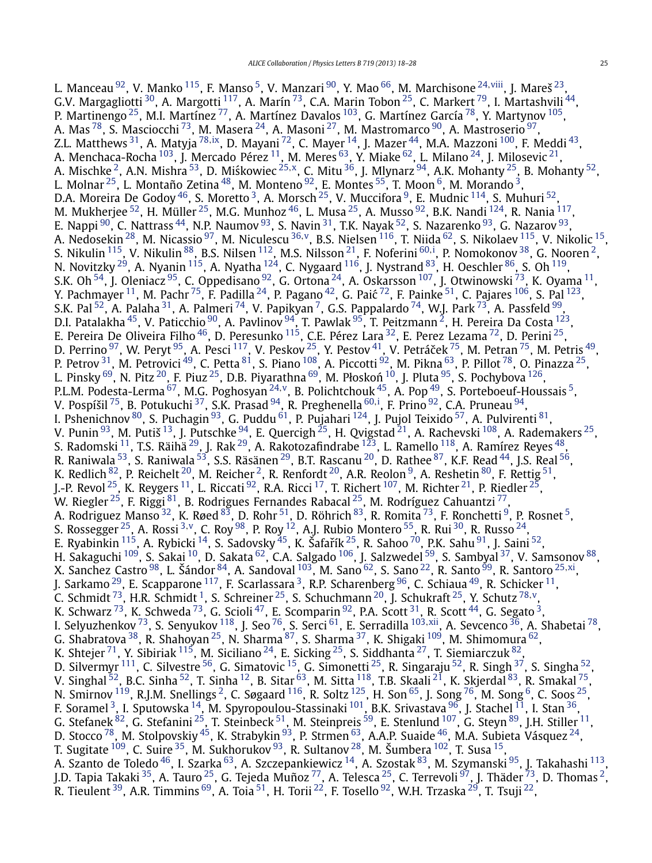L. Manceau [92,](#page-9-0) V. Manko [115,](#page-9-0) F. Manso [5,](#page-8-0) V. Manzari [90,](#page-9-0) Y. Mao [66,](#page-9-0) M. Marchisone [24](#page-8-0)*,*[viii,](#page-10-0) J. Mareš [23,](#page-8-0) G.V. Margagliotti  $^{30}$ , A. Margotti  $^{117}$ , A. Marín  $^{73}$ , C.A. Marin Tobon  $^{25}$ , C. Markert  $^{79}$ , I. Martashvili  $^{44},$ P. Martinengo <sup>25</sup>, M.I. Martínez <sup>77</sup>, A. Martínez Davalos <sup>103</sup>, G. Martínez García <sup>78</sup>, Y. Martynov <sup>105</sup>, A. Mas $^{78}$ , S. Masciocchi $^{73}$ , M. Masera $^{24}$  $^{24}$  $^{24}$ , A. Masoni $^{27}$ , M. Mastromarco $^{90}$  $^{90}$  $^{90}$ , A. Mastroserio $^{97}$ , Z.L. Matthews [31,](#page-8-0) A. Matyja [78](#page-9-0)*,*[ix,](#page-10-0) D. Mayani [72,](#page-9-0) C. Mayer [14,](#page-8-0) J. Mazer [44,](#page-8-0) M.A. Mazzoni [100,](#page-9-0) F. Meddi [43,](#page-8-0) A. Menchaca-Rocha  $^{103}$  $^{103}$  $^{103}$ , J. Mercado Pérez  $^{11}$ , M. Meres  $^{63}$ , Y. Miake  $^{62}$ , L. Milano  $^{24}$ , J. Milosevic  $^{21},$ A. Mischke <sup>2</sup>, A.N. Mishra <sup>53</sup>, D. Miśkowiec <sup>[25](#page-8-0),x</sup>, C. Mitu <sup>36</sup>, J. Mlynarz <sup>94</sup>, A.K. Mohanty <sup>25</sup>, B. Mohanty <sup>52</sup>, L. Molnar $^{25}$  $^{25}$  $^{25}$ , L. Montaño Zetina $^{48}$  $^{48}$  $^{48}$ , M. Monteno $^{92}$ , E. Montes $^{55}$ , T. Moon $^6$ , M. Morando $^3$ , D.A. Moreira De Godoy  $^{46}$ , S. Moretto  $^3$ , A. Morsch  $^{25}$ , V. Muccifora  $^9$  $^9$ , E. Mudnic  $^{114}$ , S. Muhuri  $^{52}$ , M. Mukherjee  $^{52}$ , H. Müller  $^{25}$ , M.G. Munhoz  $^{46}$ , L. Musa  $^{25}$ , A. Musso  $^{92}$ , B.K. Nandi  $^{124}$ , R. Nania  $^{117},$ E. Nappi  $^{90}$ , C. Nattrass  $^{44}$ , N.P. Naumov  $^{93}$ , S. Navin  $^{31}$ , T.K. Nayak  $^{52}$ , S. Nazarenko  $^{93}$ , G. Nazarov  $^{93}$ , A. Nedosekin [28](#page-8-0), M. Nicassio [97,](#page-9-0) M. Niculescu [36](#page-8-0)*,*[v,](#page-9-0) B.S. Nielsen [116,](#page-9-0) T. Niida [62,](#page-9-0) S. Nikolaev [115,](#page-9-0) V. Nikolic [15,](#page-8-0) S. Nikulin <sup>115</sup>, V. Nikulin <sup>88</sup>, B.S. Nilsen <sup>112</sup>, M.S. Nilsson <sup>21</sup>, F. Noferini <sup>[60](#page-9-0),[i](#page-9-0)</sup>, P. Nomokonov <sup>38</sup>, G. Nooren <sup>[2](#page-8-0)</sup>, N. Novitzky  $^{29}$ , A. Nyanin  $^{115}$ , A. Nyatha  $^{124}$ , C. Nygaard  $^{116}$ , J. Nystrand  $^{83}$ , H. Oeschler  $^{86}$ , S. Oh  $^{119}$ , S.K. Oh $^{54}$ , J. Oleniacz  $^{95}$ , C. Oppedisano $^{92}$ , G. Ortona  $^{24}$ , A. Oskarsson  $^{107}$ , J. Otwinowski  $^{73}$ , K. Oyama  $^{11}$  $^{11}$  $^{11}$ , Y. Pachmayer  $^{11}$ , M. Pachr  $^{75}$ , F. Padilla  $^{24}$ , P. Pagano  $^{42}$ , G. Paić  $^{72}$ , F. Painke  $^{51}$ , C. Pajares  $^{106}$ , S. Pal  $^{123}$ , S.K. Pal $^{52}$ , A. Palaha $^{31}$ , A. Palmeri $^{74}$  $^{74}$  $^{74}$ , V. Papikyan $^7$ , G.S. Pappalardo $^{74}$ , W.J. Park $^{73}$ , A. Passfeld $^{99}$  $^{99}$  $^{99}$ , D.I. Patalakha  $^{45}$ , V. Paticchio  $^{90}$ , A. Pavlinov  $^{94}$ , T. Pawlak  $^{95}$ , T. Peitzmann  $^2$ , H. Pereira Da Costa  $^{123},$ E. Pereira De Oliveira Filho <sup>46</sup>, D. Peresunko <sup>115</sup>, C.E. Pérez Lara <sup>32</sup>, E. Perez Lezama <sup>[72](#page-9-0)</sup>, D. Perini <sup>25</sup>, D. Perrino  $^{97}$ , W. Peryt  $^{95}$ , A. Pesci  $^{117}$ , V. Peskov  $^{25}$ , Y. Pestov  $^{41}$ , V. Petráček  $^{75}$ , M. Petran  $^{75}$ , M. Petris  $^{49}$ , P. Petrov <sup>31</sup>, M. Petrovici <sup>49</sup>, C. Petta <sup>81</sup>, S. Piano <sup>[108](#page-9-0)</sup>, A. Piccotti <sup>92</sup>, M. Pikna <sup>63</sup>, P. Pillot <sup>78</sup>, O. Pinazza <sup>25</sup>, L. Pinsky  $^{69}$ , N. Pitz  $^{20}$ , F. Piuz  $^{25}$  $^{25}$  $^{25}$ , D.B. Piyarathna  $^{69}$ , M. Płoskoń  $^{10}$  $^{10}$  $^{10}$ , J. Pluta  $^{95}$ , S. Pochybova  $^{126}$ , P.L.M. Podesta-Lerma [67,](#page-9-0) M.G. Poghosyan [24](#page-8-0)*,*[v,](#page-9-0) B. Polichtchouk [45,](#page-8-0) A. Pop [49,](#page-8-0) S. Porteboeuf-Houssais [5,](#page-8-0) V. Pospíšil <sup>75</sup>, B. Potukuchi <sup>37</sup>, S.K. Prasad <sup>94</sup>, R. Preghenella <sup>[60](#page-9-0),[i](#page-9-0)</sup>, F. Prino <sup>92</sup>, C.A. Pruneau <sup>94</sup>, I. Pshenichnov <sup>80</sup>, S. Puchagin <sup>93</sup>, G. Puddu <sup>61</sup>, P. Pujahari <sup>[124](#page-9-0)</sup>, J. Pujol Teixido <sup>57</sup>, A. Pulvirenti <sup>81</sup>, V. Punin  $^{93}$ , M. Putiš  $^{13}$ , J. Putschke  $^{94}$ , E. Quercigh  $^{25}$ , H. Qvigstad  $^{21}$ , A. Rachevski  $^{108}$ , A. Rademakers  $^{25}$ , S. Radomski  $^{11}$  $^{11}$  $^{11}$ , T.S. Räihä  $^{29}$ , J. Rak  $^{29}$ , A. Rakotozafindrabe  $^{123}$ , L. Ramello  $^{118}$ , A. Ramírez Reyes  $^{48},$ R. Raniwala <sup>53</sup>, S. Raniwala <sup>53</sup>, S.S. Räsänen <sup>29</sup>, B.T. Rascanu <sup>20</sup>, D. Rathee <sup>87</sup>, K.F. Read <sup>44</sup>, J.S. Real <sup>56</sup>, K. Redlich  $^{82}$ , P. Reichelt  $^{20}$ , M. Reicher  $^2$ , R. Renfordt  $^{20}$ , A.R. Reolon  $^9$ , A. Reshetin  $^{80}$ , F. Rettig  $^{51}$  $^{51}$  $^{51}$ , J.-P. Revol  $^{25}$ , K. Reygers  $^{11}$ , L. Riccati  $^{92}$ , R.A. Ricci  $^{17}$ , T. Richert  $^{107}$ , M. Richter  $^{21}$ , P. Riedler  $^{25}$ , W. Riegler  $^{25}$  $^{25}$  $^{25}$ , F. Riggi  $^{81}$ , B. Rodrigues Fernandes Rabacal  $^{25}$ , M. Rodríguez Cahuantzi  $^{77}$ , A. Rodriguez Manso $^{32}$  $^{32}$  $^{32}$ , K. Røed $^{83}$ , D. Rohr $^{51}$ , D. Röhrich $^{83}$ , R. Romita $^{73}$ , F. Ronchetti $^9$ , P. Rosnet $^5$ , S. Rossegger [25,](#page-8-0) A. Rossi [3](#page-8-0)*,*[v,](#page-9-0) C. Roy [98,](#page-9-0) P. Roy [12,](#page-8-0) A.J. Rubio Montero [55,](#page-8-0) R. Rui [30,](#page-8-0) R. Russo [24,](#page-8-0) E. Ryabinkin  $^{115}$ , A. Rybicki  $^{14}$ , S. Sadovsky  $^{45}$ , K. Šafařík  $^{25}$ , R. Sahoo  $^{70}$ , P.K. Sahu  $^{91}$ , J. Saini  $^{52}$ , H. Sakaguchi <sup>[109](#page-9-0)</sup>, S. Sakai <sup>10</sup>, D. Sakata <sup>62</sup>, C.A. Salgado <sup>106</sup>, J. Salzwedel <sup>59</sup>, S. Sambyal <sup>37</sup>, V. Samsonov <sup>88</sup>, X. Sanchez Castro [98,](#page-9-0) L. Šándor [84,](#page-9-0) A. Sandoval [103,](#page-9-0) M. Sano [62,](#page-9-0) S. Sano [22,](#page-8-0) R. Santo [99,](#page-9-0) R. Santoro [25](#page-8-0)*,*[xi,](#page-10-0) J. Sarkamo  $^{29}$ , E. Scapparone  $^{117}$ , F. Scarlassara  $^3$ , R.P. Scharenberg  $^{96}$  $^{96}$  $^{96}$ , C. Schiaua  $^{49}$  $^{49}$  $^{49}$ , R. Schicker  $^{11}$ , C. Schmidt [73](#page-9-0), H.R. Schmidt [1,](#page-8-0) S. Schreiner [25,](#page-8-0) S. Schuchmann [20,](#page-8-0) J. Schukraft [25,](#page-8-0) Y. Schutz [78](#page-9-0)*,*[v,](#page-9-0) K. Schwarz  $^{73}$ , K. Schweda  $^{73}$ , G. Scioli  $^{47}$ , E. Scomparin  $^{92}$ , P.A. Scott  $^{31}$ , R. Scott  $^{44}$ , G. Segato  $^3$ , I. Selyuzhenkov [73](#page-9-0), S. Senyukov [118,](#page-9-0) J. Seo [76](#page-9-0), S. Serci [61,](#page-9-0) E. Serradilla [103](#page-9-0)*,*[xii](#page-10-0), A. Sevcenco [36,](#page-8-0) A. Shabetai [78,](#page-9-0) G. Shabratova  $^{38}$ , R. Shahoyan  $^{25}$ , N. Sharma  $^{87}$ , S. Sharma  $^{37}$ , K. Shigaki  $^{109}$ , M. Shimomura  $^{62}$ , K. Shtejer $^{71}$ , Y. Sibiriak  $^{115}$ , M. Siciliano  $^{24}$ , E. Sicking  $^{25}$  $^{25}$  $^{25}$ , S. Siddhanta  $^{27}$ , T. Siemiarczuk  $^{82}$ , D. Silvermyr <sup>111</sup>, C. Silvestre <sup>56</sup>, G. Simatovic <sup>15</sup>, G. Simonetti <sup>[25](#page-8-0)</sup>, R. Singaraju <sup>[52](#page-8-0)</sup>, R. Singh <sup>37</sup>, S. Singha <sup>52</sup>, V. Singhal  $^{52}$  $^{52}$  $^{52}$ , B.C. Sinha  $^{52}$ , T. Sinha  $^{12}$ , B. Sitar  $^{63}$ , M. Sitta  $^{118}$ , T.B. Skaali  $^{21}$ , K. Skjerdal  $^{83}$ , R. Smakal  $^{75}$ , N. Smirnov  $^{119}$ , R.J.M. Snellings  $^2$ , C. Søgaard  $^{116}$ , R. Soltz  $^{125}$ , H. Son  $^{65}$ , J. Song  $^{76}$ , M. Song  $^6$ , C. Soos  $^{25}$ , F. Soramel <sup>3</sup>, I. Sputowska <sup>14</sup>, M. Spyropoulou-Stassinaki <sup>101</sup>, B.K. Srivastava <sup>96</sup>, J. Stachel <sup>11</sup>, I. Stan <sup>36</sup>, G. Stefanek  $^{82}$ , G. Stefanini  $^{25}$  $^{25}$  $^{25}$ , T. Steinbeck  $^{51}$ , M. Steinpreis  $^{59}$ , E. Stenlund  $^{107}$ , G. Steyn  $^{89}$ , J.H. Stiller  $^{11}$  $^{11}$  $^{11}$ , D. Stocco  $^{78}$ , M. Stolpovskiy  $^{45}$ , K. Strabykin  $^{93}$ , P. Strmen  $^{63}$ , A.A.P. Suaide  $^{46}$ , M.A. Subieta Vásquez  $^{24},$ T. Sugitate  $^{109}$  $^{109}$  $^{109}$ , C. Suire  $^{35}$ , M. Sukhorukov  $^{93}$ , R. Sultanov  $^{28}$ , M. Šumbera  $^{102}$ , T. Susa  $^{15}$ , A. Szanto de Toledo <sup>[46](#page-8-0)</sup>, I. Szarka <sup>63</sup>, A. Szczepankiewicz <sup>[14](#page-8-0)</sup>, A. Szostak <sup>83</sup>, M. Szymanski <sup>95</sup>, J. Takahashi <sup>[113](#page-9-0)</sup>, J.D. Tapia Takaki <sup>35</sup>, A. Tauro <sup>[25](#page-8-0)</sup>, G. Tejeda Muñoz <sup>77</sup>, A. Telesca <sup>25</sup>, C. Terrevoli <sup>97</sup>, J. Thäder <sup>73</sup>, D. Thomas <sup>2</sup>, R. Tieulent <sup>39</sup>, A.R. Timmins <sup>69</sup>, A. Toia <sup>51</sup>, H. Torii <sup>22</sup>, F. Tosello <sup>92</sup>, W.H. Trzaska <sup>29</sup>, T. Tsuji <sup>22</sup>,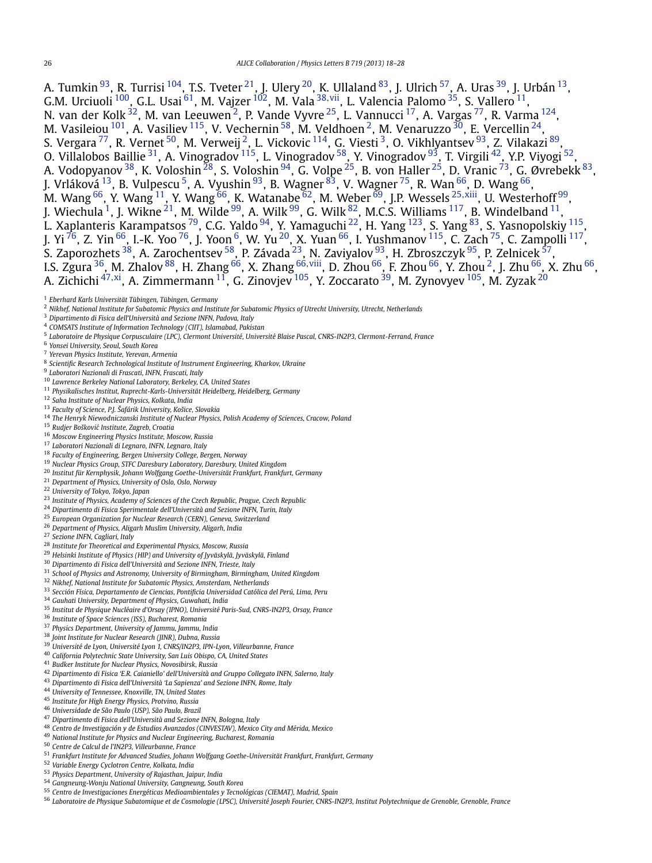<span id="page-8-0"></span>A. Tumkin  $^{93}$ , R. Turrisi  $^{104}$ , T.S. Tveter  $^{21}$ , J. Ulery  $^{20}$ , K. Ullaland  $^{83}$ , J. Ulrich  $^{57}$ , A. Uras  $^{39}$ , J. Urbán  $^{13}$ , G.M. Urciuoli [100,](#page-9-0) G.L. Usai [61](#page-9-0), M. Vajzer [102,](#page-9-0) M. Vala <sup>38</sup>*,*[vii,](#page-10-0) L. Valencia Palomo 35, S. Vallero 11, N. van der Kolk $^{32}$ , M. van Leeuwen $^2$ , P. Vande Vyvre $^{25}$ , L. Vannucci  $^{17}$ , A. Vargas $^{77}$ , R. Varma  $^{124},$ M. Vasileiou  $^{101}$ , A. Vasiliev  $^{115}$ , V. Vechernin  $^{58}$ , M. Veldhoen  $^2$ , M. Venaruzzo  $^{30}$ , E. Vercellin  $^{24}$ , S. Vergara <sup>77</sup>, R. Vernet <sup>50</sup>, M. Verweij <sup>2</sup>, L. Vickovic <sup>114</sup>, G. Viesti <sup>3</sup>, O. Vikhlyantsev <sup>93</sup>, Z. Vilakazi <sup>89</sup>, O. Villalobos Baillie <sup>31</sup>, A. Vinogradov <sup>115</sup>, L. Vinogradov <sup>58</sup>, Y. Vinogradov <sup>93</sup>, T. Virgili <sup>42</sup>, Y.P. Viyogi <sup>52</sup>, A. Vodopyanov $^{38}$ , K. Voloshin $^{28}$ , S. Voloshin $^{94}$  $^{94}$  $^{94}$ , G. Volpe $^{25}$ , B. von Haller $^{25}$ , D. Vranic $^{73}$ , G. Øvrebekk $^{83}$ , J. Vrláková <sup>13</sup>, B. Vulpescu <sup>5</sup>, A. Vyushin <sup>93</sup>, B. Wagner <sup>83</sup>, V. Wagner <sup>75</sup>, R. Wan <sup>[66](#page-9-0)</sup>, D. Wang <sup>66</sup>, M. Wang [66,](#page-9-0) Y. Wang 11, Y. Wang [66,](#page-9-0) K. Watanabe [62,](#page-9-0) M. Weber [69,](#page-9-0) J.P. Wessels <sup>25</sup>*,*[xiii,](#page-10-0) U. Westerhoff [99,](#page-9-0) J. Wiechula <sup>1</sup>, J. Wikne <sup>21</sup>, M. Wilde <sup>99</sup>, A. Wilk <sup>99</sup>, G. Wilk <sup>82</sup>, M.C.S. Williams <sup>117</sup>, B. Windelband <sup>11</sup>, L. Xaplanteris Karampatsos  $^{79}$ , C.G. Yaldo  $^{94}$ , Y. Yamaguchi  $^{22}$ , H. Yang  $^{123}$ , S. Yang  $^{83}$ , S. Yasnopolskiy  $^{115}$  $^{115}$  $^{115}$ , J. Yi <sup>76</sup>, Z. Yin <sup>66</sup>, I.-K. Yoo <sup>76</sup>, J. Yoon <sup>6</sup>, W. Yu <sup>20</sup>, X. Yuan <sup>66</sup>, I. Yushmanov <sup>115</sup>, C. Zach <sup>75</sup>, C. Zampolli <sup>117</sup>, S. Zaporozhets <sup>38</sup>, A. Zarochentsev <sup>58</sup>, P. Závada <sup>23</sup>, N. Zaviyalov <sup>93</sup>, H. Zbroszczyk <sup>95</sup>, P. Zelnicek <sup>57</sup>, I.S. Zgura 36, M. Zhalov [88,](#page-9-0) H. Zhang [66,](#page-9-0) X. Zhang [66](#page-9-0)*,*[viii](#page-10-0), D. Zhou [66,](#page-9-0) F. Zhou [66,](#page-9-0) Y. Zhou 2, J. Zhu [66,](#page-9-0) X. Zhu [66,](#page-9-0) A. Zichichi <sup>47</sup>*,*[xi,](#page-10-0) A. Zimmermann 11, G. Zinovjev [105,](#page-9-0) Y. Zoccarato 39, M. Zynovyev [105,](#page-9-0) M. Zyzak <sup>20</sup>

- *Dipartimento di Fisica dell'Università and Sezione INFN, Padova, Italy*
- *COMSATS Institute of Information Technology (CIIT), Islamabad, Pakistan*
- *Laboratoire de Physique Corpusculaire (LPC), Clermont Université, Université Blaise Pascal, CNRS-IN2P3, Clermont-Ferrand, France*
- *Yonsei University, Seoul, South Korea*
- *Yerevan Physics Institute, Yerevan, Armenia*
- *Scientific Research Technological Institute of Instrument Engineering, Kharkov, Ukraine*
- *Laboratori Nazionali di Frascati, INFN, Frascati, Italy*
- *Lawrence Berkeley National Laboratory, Berkeley, CA, United States*
- *Physikalisches Institut, Ruprecht-Karls-Universität Heidelberg, Heidelberg, Germany*
- *Saha Institute of Nuclear Physics, Kolkata, India*
- *Faculty of Science, P.J. Šafárik University, Košice, Slovakia*
- *The Henryk Niewodniczanski Institute of Nuclear Physics, Polish Academy of Sciences, Cracow, Poland*
- *Rudjer Boškovi´c Institute, Zagreb, Croatia*
- *Moscow Engineering Physics Institute, Moscow, Russia*
- *Laboratori Nazionali di Legnaro, INFN, Legnaro, Italy*
- *Faculty of Engineering, Bergen University College, Bergen, Norway*
- *Nuclear Physics Group, STFC Daresbury Laboratory, Daresbury, United Kingdom*
- *Institut für Kernphysik, Johann Wolfgang Goethe-Universität Frankfurt, Frankfurt, Germany*
- *Department of Physics, University of Oslo, Oslo, Norway*
- *University of Tokyo, Tokyo, Japan*
- *Institute of Physics, Academy of Sciences of the Czech Republic, Prague, Czech Republic*
- *Dipartimento di Fisica Sperimentale dell'Università and Sezione INFN, Turin, Italy*
- *European Organization for Nuclear Research (CERN), Geneva, Switzerland*
- *Department of Physics, Aligarh Muslim University, Aligarh, India*
- *Sezione INFN, Cagliari, Italy*
- *Institute for Theoretical and Experimental Physics, Moscow, Russia*
- *Helsinki Institute of Physics (HIP) and University of Jyväskylä, Jyväskylä, Finland*
- *Dipartimento di Fisica dell'Università and Sezione INFN, Trieste, Italy*
- *School of Physics and Astronomy, University of Birmingham, Birmingham, United Kingdom*
- *Nikhef, National Institute for Subatomic Physics, Amsterdam, Netherlands*
- *Sección Física, Departamento de Ciencias, Pontificia Universidad Católica del Perú, Lima, Peru*
- *Gauhati University, Department of Physics, Guwahati, India*
- *Institut de Physique Nucléaire d'Orsay (IPNO), Université Paris-Sud, CNRS-IN2P3, Orsay, France*
- *Institute of Space Sciences (ISS), Bucharest, Romania*
- *Physics Department, University of Jammu, Jammu, India*
- *Joint Institute for Nuclear Research (JINR), Dubna, Russia*
- *Université de Lyon, Université Lyon 1, CNRS/IN2P3, IPN-Lyon, Villeurbanne, France*
- *California Polytechnic State University, San Luis Obispo, CA, United States*
- *Budker Institute for Nuclear Physics, Novosibirsk, Russia*
- *Dipartimento di Fisica 'E.R. Caianiello' dell'Università and Gruppo Collegato INFN, Salerno, Italy*
- *Dipartimento di Fisica dell'Università 'La Sapienza' and Sezione INFN, Rome, Italy*
- *University of Tennessee, Knoxville, TN, United States*
- *Institute for High Energy Physics, Protvino, Russia*
- *Universidade de São Paulo (USP), São Paulo, Brazil*
- *Dipartimento di Fisica dell'Università and Sezione INFN, Bologna, Italy*
- *Centro de Investigación y de Estudios Avanzados (CINVESTAV), Mexico City and Mérida, Mexico*
- *National Institute for Physics and Nuclear Engineering, Bucharest, Romania*
- *Centre de Calcul de l'IN2P3, Villeurbanne, France*
- *Frankfurt Institute for Advanced Studies, Johann Wolfgang Goethe-Universität Frankfurt, Frankfurt, Germany*
- *Variable Energy Cyclotron Centre, Kolkata, India*
- *Physics Department, University of Rajasthan, Jaipur, India*
- *Gangneung-Wonju National University, Gangneung, South Korea*
- *Centro de Investigaciones Energéticas Medioambientales y Tecnológicas (CIEMAT), Madrid, Spain*
- *Laboratoire de Physique Subatomique et de Cosmologie (LPSC), Université Joseph Fourier, CNRS-IN2P3, Institut Polytechnique de Grenoble, Grenoble, France*

*Eberhard Karls Universität Tübingen, Tübingen, Germany*

*Nikhef, National Institute for Subatomic Physics and Institute for Subatomic Physics of Utrecht University, Utrecht, Netherlands*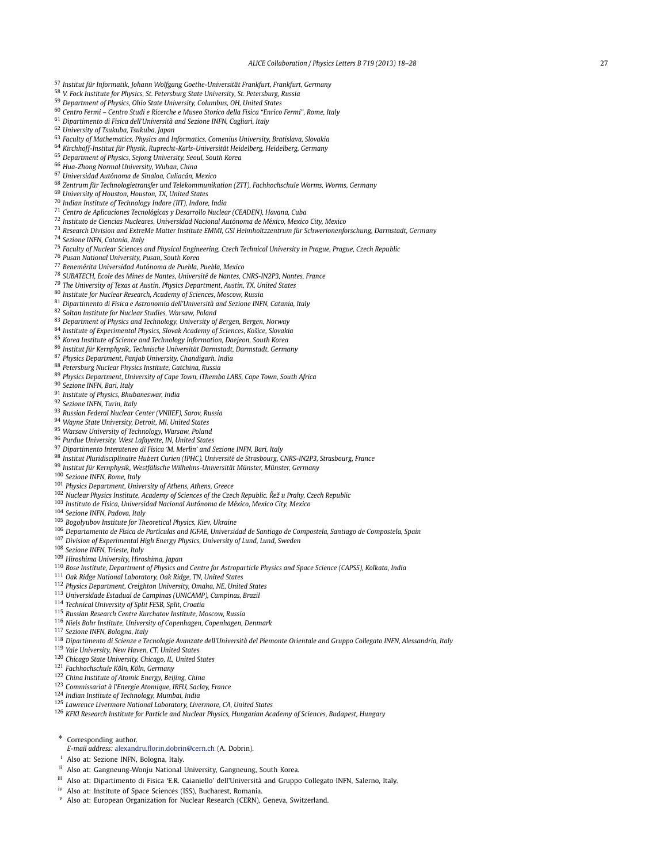- <span id="page-9-0"></span>*Institut für Informatik, Johann Wolfgang Goethe-Universität Frankfurt, Frankfurt, Germany*
- *V. Fock Institute for Physics, St. Petersburg State University, St. Petersburg, Russia*
- *Department of Physics, Ohio State University, Columbus, OH, United States*
- *Centro Fermi Centro Studi e Ricerche e Museo Storico della Fisica "Enrico Fermi", Rome, Italy*
- *Dipartimento di Fisica dell'Università and Sezione INFN, Cagliari, Italy*
- *University of Tsukuba, Tsukuba, Japan*
- *Faculty of Mathematics, Physics and Informatics, Comenius University, Bratislava, Slovakia*
- *Kirchhoff-Institut für Physik, Ruprecht-Karls-Universität Heidelberg, Heidelberg, Germany*
- *Department of Physics, Sejong University, Seoul, South Korea*
- *Hua-Zhong Normal University, Wuhan, China*
- *Universidad Autónoma de Sinaloa, Culiacán, Mexico*
- *Zentrum für Technologietransfer und Telekommunikation (ZTT), Fachhochschule Worms, Worms, Germany*
- *University of Houston, Houston, TX, United States*
- *Indian Institute of Technology Indore (IIT), Indore, India*
- *Centro de Aplicaciones Tecnológicas y Desarrollo Nuclear (CEADEN), Havana, Cuba*
- *Instituto de Ciencias Nucleares, Universidad Nacional Autónoma de México, Mexico City, Mexico*
- *Research Division and ExtreMe Matter Institute EMMI, GSI Helmholtzzentrum für Schwerionenforschung, Darmstadt, Germany*
- *Sezione INFN, Catania, Italy*
- *Faculty of Nuclear Sciences and Physical Engineering, Czech Technical University in Prague, Prague, Czech Republic*
- *Pusan National University, Pusan, South Korea*
- *Benemérita Universidad Autónoma de Puebla, Puebla, Mexico*
- *SUBATECH, Ecole des Mines de Nantes, Université de Nantes, CNRS-IN2P3, Nantes, France*
- *The University of Texas at Austin, Physics Department, Austin, TX, United States*
- *Institute for Nuclear Research, Academy of Sciences, Moscow, Russia*
- *Dipartimento di Fisica e Astronomia dell'Università and Sezione INFN, Catania, Italy*
- *Soltan Institute for Nuclear Studies, Warsaw, Poland*
- *Department of Physics and Technology, University of Bergen, Bergen, Norway*
- *Institute of Experimental Physics, Slovak Academy of Sciences, Košice, Slovakia*
- *Korea Institute of Science and Technology Information, Daejeon, South Korea*
- *Institut für Kernphysik, Technische Universität Darmstadt, Darmstadt, Germany*
- *Physics Department, Panjab University, Chandigarh, India*
- *Petersburg Nuclear Physics Institute, Gatchina, Russia*
- *Physics Department, University of Cape Town, iThemba LABS, Cape Town, South Africa*
- *Sezione INFN, Bari, Italy*
- *Institute of Physics, Bhubaneswar, India*
- *Sezione INFN, Turin, Italy*
- *Russian Federal Nuclear Center (VNIIEF), Sarov, Russia*
- *Wayne State University, Detroit, MI, United States*
- *Warsaw University of Technology, Warsaw, Poland*
- *Purdue University, West Lafayette, IN, United States*
- *Dipartimento Interateneo di Fisica 'M. Merlin' and Sezione INFN, Bari, Italy*
- *Institut Pluridisciplinaire Hubert Curien (IPHC), Université de Strasbourg, CNRS-IN2P3, Strasbourg, France*
- *Institut für Kernphysik, Westfälische Wilhelms-Universität Münster, Münster, Germany*
- *Sezione INFN, Rome, Italy*
- *Physics Department, University of Athens, Athens, Greece*
- *Nuclear Physics Institute, Academy of Sciences of the Czech Republic, Rež u Prahy, Czech Republic ˇ*
- *Instituto de Física, Universidad Nacional Autónoma de México, Mexico City, Mexico*
- *Sezione INFN, Padova, Italy*
- *Bogolyubov Institute for Theoretical Physics, Kiev, Ukraine*
- *Departamento de Física de Partículas and IGFAE, Universidad de Santiago de Compostela, Santiago de Compostela, Spain*
- *Division of Experimental High Energy Physics, University of Lund, Lund, Sweden*
- *Sezione INFN, Trieste, Italy*
- *Hiroshima University, Hiroshima, Japan*
- *Bose Institute, Department of Physics and Centre for Astroparticle Physics and Space Science (CAPSS), Kolkata, India*
- *Oak Ridge National Laboratory, Oak Ridge, TN, United States*
- *Physics Department, Creighton University, Omaha, NE, United States*
- *Universidade Estadual de Campinas (UNICAMP), Campinas, Brazil*
- *Technical University of Split FESB, Split, Croatia*
- *Russian Research Centre Kurchatov Institute, Moscow, Russia*
- *Niels Bohr Institute, University of Copenhagen, Copenhagen, Denmark*
- *Sezione INFN, Bologna, Italy*
- *Dipartimento di Scienze e Tecnologie Avanzate dell'Università del Piemonte Orientale and Gruppo Collegato INFN, Alessandria, Italy*
- *Yale University, New Haven, CT, United States*
- *Chicago State University, Chicago, IL, United States*
- *Fachhochschule Köln, Köln, Germany*
- *China Institute of Atomic Energy, Beijing, China*
- *Commissariat à l'Energie Atomique, IRFU, Saclay, France*
- *Indian Institute of Technology, Mumbai, India*
- *Lawrence Livermore National Laboratory, Livermore, CA, United States*
- *KFKI Research Institute for Particle and Nuclear Physics, Hungarian Academy of Sciences, Budapest, Hungary*
- \* Corresponding author.
- *E-mail address:* [alexandru.florin.dobrin@cern.ch](mailto:alexandru.florin.dobrin@cern.ch) (A. Dobrin).
- Also at: Sezione INFN, Bologna, Italy.
- ii Also at: Gangneung-Wonju National University, Gangneung, South Korea.
- iii Also at: Dipartimento di Fisica 'E.R. Caianiello' dell'Università and Gruppo Collegato INFN, Salerno, Italy.
- iv Also at: Institute of Space Sciences (ISS), Bucharest, Romania.
- <sup>v</sup> Also at: European Organization for Nuclear Research (CERN), Geneva, Switzerland.